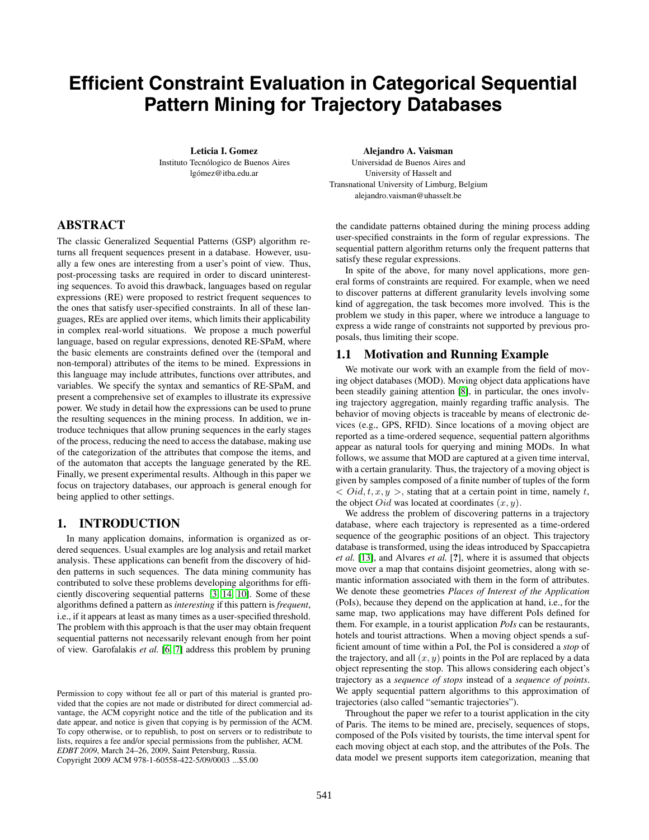# **Efficient Constraint Evaluation in Categorical Sequential Pattern Mining for Trajectory Databases**

**Leticia I. Gomez** Instituto Tecnólogico de Buenos Aires lgómez@itba.edu.ar

## **ABSTRACT**

The classic Generalized Sequential Patterns (GSP) algorithm returns all frequent sequences present in a database. However, usually a few ones are interesting from a user's point of view. Thus, post-processing tasks are required in order to discard uninteresting sequences. To avoid this drawback, languages based on regular expressions (RE) were proposed to restrict frequent sequences to the ones that satisfy user-specified constraints. In all of these languages, REs are applied over items, which limits their applicability in complex real-world situations. We propose a much powerful language, based on regular expressions, denoted RE-SPaM, where the basic elements are constraints defined over the (temporal and non-temporal) attributes of the items to be mined. Expressions in this language may include attributes, functions over attributes, and variables. We specify the syntax and semantics of RE-SPaM, and present a comprehensive set of examples to illustrate its expressive power. We study in detail how the expressions can be used to prune the resulting sequences in the mining process. In addition, we introduce techniques that allow pruning sequences in the early stages of the process, reducing the need to access the database, making use of the categorization of the attributes that compose the items, and of the automaton that accepts the language generated by the RE. Finally, we present experimental results. Although in this paper we focus on trajectory databases, our approach is general enough for being applied to other settings.

## **1. INTRODUCTION**

In many application domains, information is organized as ordered sequences. Usual examples are log analysis and retail market analysis. These applications can benefit from the discovery of hidden patterns in such sequences. The data mining community has contributed to solve these problems developing algorithms for efficiently discovering sequential patterns [3, 14, 10]. Some of these algorithms defined a pattern as *interesting* if this pattern is *frequent*, i.e., if it appears at least as many times as a user-specified threshold. The problem with this approach is that the user may obtain frequent sequential patterns not necessarily relevant enough from her point of view. Garofalakis *et al.* [6, 7] address this problem by pruning

**Alejandro A. Vaisman** Universidad de Buenos Aires and University of Hasselt and Transnational University of Limburg, Belgium alejandro.vaisman@uhasselt.be

the candidate patterns obtained during the mining process adding user-specified constraints in the form of regular expressions. The sequential pattern algorithm returns only the frequent patterns that satisfy these regular expressions.

In spite of the above, for many novel applications, more general forms of constraints are required. For example, when we need to discover patterns at different granularity levels involving some kind of aggregation, the task becomes more involved. This is the problem we study in this paper, where we introduce a language to express a wide range of constraints not supported by previous proposals, thus limiting their scope.

#### **1.1 Motivation and Running Example**

We motivate our work with an example from the field of moving object databases (MOD). Moving object data applications have been steadily gaining attention [8], in particular, the ones involving trajectory aggregation, mainly regarding traffic analysis. The behavior of moving objects is traceable by means of electronic devices (e.g., GPS, RFID). Since locations of a moving object are reported as a time-ordered sequence, sequential pattern algorithms appear as natural tools for querying and mining MODs. In what follows, we assume that MOD are captured at a given time interval, with a certain granularity. Thus, the trajectory of a moving object is given by samples composed of a finite number of tuples of the form *< Oid, t, x, y >,* stating that at a certain point in time, namely *t*, the object *Oid* was located at coordinates (*x, y*)*.*

We address the problem of discovering patterns in a trajectory database, where each trajectory is represented as a time-ordered sequence of the geographic positions of an object. This trajectory database is transformed, using the ideas introduced by Spaccapietra *et al.* [13], and Alvares *et al.* [**?**], where it is assumed that objects move over a map that contains disjoint geometries, along with semantic information associated with them in the form of attributes. We denote these geometries *Places of Interest of the Application* (PoIs), because they depend on the application at hand, i.e., for the same map, two applications may have different PoIs defined for them. For example, in a tourist application *PoIs* can be restaurants, hotels and tourist attractions. When a moving object spends a sufficient amount of time within a PoI, the PoI is considered a *stop* of the trajectory, and all  $(x, y)$  points in the PoI are replaced by a data object representing the stop. This allows considering each object's trajectory as a *sequence of stops* instead of a *sequence of points*. We apply sequential pattern algorithms to this approximation of trajectories (also called "semantic trajectories").

Throughout the paper we refer to a tourist application in the city of Paris. The items to be mined are, precisely, sequences of stops, composed of the PoIs visited by tourists, the time interval spent for each moving object at each stop, and the attributes of the PoIs. The data model we present supports item categorization, meaning that

Permission to copy without fee all or part of this material is granted provided that the copies are not made or distributed for direct commercial advantage, the ACM copyright notice and the title of the publication and its date appear, and notice is given that copying is by permission of the ACM. To copy otherwise, or to republish, to post on servers or to redistribute to lists, requires a fee and/or special permissions from the publisher, ACM. *EDBT 2009*, March 24–26, 2009, Saint Petersburg, Russia. Copyright 2009 ACM 978-1-60558-422-5/09/0003 ...\$5.00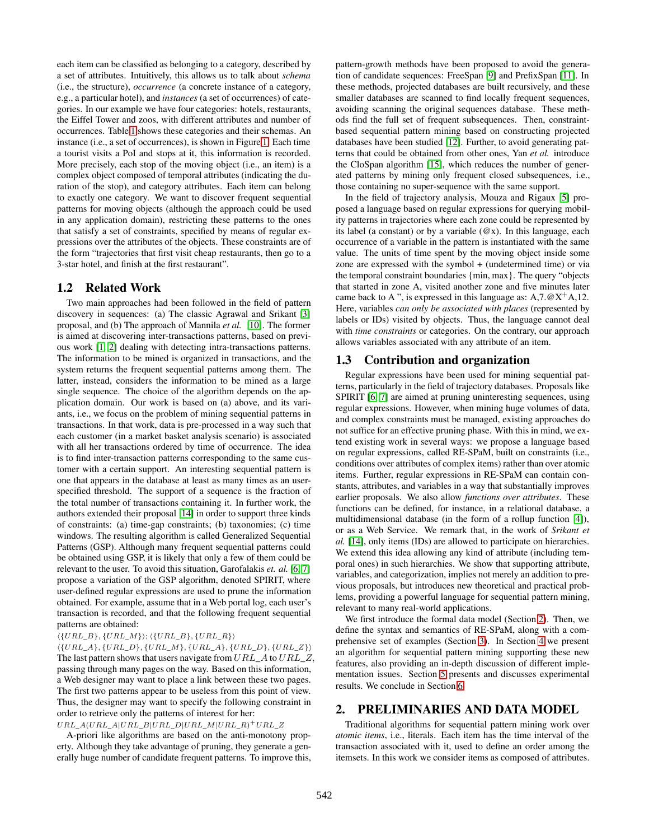each item can be classified as belonging to a category, described by a set of attributes. Intuitively, this allows us to talk about *schema* (i.e., the structure), *occurrence* (a concrete instance of a category, e.g., a particular hotel), and *instances* (a set of occurrences) of categories. In our example we have four categories: hotels, restaurants, the Eiffel Tower and zoos, with different attributes and number of occurrences. Table 1 shows these categories and their schemas. An instance (i.e., a set of occurrences), is shown in Figure 1. Each time a tourist visits a PoI and stops at it, this information is recorded. More precisely, each stop of the moving object (i.e., an item) is a complex object composed of temporal attributes (indicating the duration of the stop), and category attributes. Each item can belong to exactly one category. We want to discover frequent sequential patterns for moving objects (although the approach could be used in any application domain), restricting these patterns to the ones that satisfy a set of constraints, specified by means of regular expressions over the attributes of the objects. These constraints are of the form "trajectories that first visit cheap restaurants, then go to a 3-star hotel, and finish at the first restaurant".

#### **1.2 Related Work**

Two main approaches had been followed in the field of pattern discovery in sequences: (a) The classic Agrawal and Srikant [3] proposal, and (b) The approach of Mannila *et al.* [10]. The former is aimed at discovering inter-transactions patterns, based on previous work [1, 2] dealing with detecting intra-transactions patterns. The information to be mined is organized in transactions, and the system returns the frequent sequential patterns among them. The latter, instead, considers the information to be mined as a large single sequence. The choice of the algorithm depends on the application domain. Our work is based on (a) above, and its variants, i.e., we focus on the problem of mining sequential patterns in transactions. In that work, data is pre-processed in a way such that each customer (in a market basket analysis scenario) is associated with all her transactions ordered by time of occurrence. The idea is to find inter-transaction patterns corresponding to the same customer with a certain support. An interesting sequential pattern is one that appears in the database at least as many times as an userspecified threshold. The support of a sequence is the fraction of the total number of transactions containing it. In further work, the authors extended their proposal [14] in order to support three kinds of constraints: (a) time-gap constraints; (b) taxonomies; (c) time windows. The resulting algorithm is called Generalized Sequential Patterns (GSP). Although many frequent sequential patterns could be obtained using GSP, it is likely that only a few of them could be relevant to the user. To avoid this situation, Garofalakis *et. al.* [6, 7] propose a variation of the GSP algorithm, denoted SPIRIT, where user-defined regular expressions are used to prune the information obtained. For example, assume that in a Web portal log, each user's transaction is recorded, and that the following frequent sequential patterns are obtained:

#### $\langle \{URL\_B\}, \{URL\_M\} \rangle; \langle \{URL\_B\}, \{URL\_R\} \rangle$

 $\langle \{URL\_A\}, \{URL\_D\}, \{URL\_M\}, \{URL\_A\}, \{URL\_D\}, \{URL\_Z\} \rangle$ The last pattern shows that users navigate from *URL*\_*A* to *URL*\_*Z,* passing through many pages on the way. Based on this information, a Web designer may want to place a link between these two pages. The first two patterns appear to be useless from this point of view. Thus, the designer may want to specify the following constraint in order to retrieve only the patterns of interest for her:

 $URL\_A(URL\_A|URL\_B|URL\_D|URL\_M|URL\_R)$ <sup>+</sup>URL\_Z

A-priori like algorithms are based on the anti-monotony property. Although they take advantage of pruning, they generate a generally huge number of candidate frequent patterns. To improve this, pattern-growth methods have been proposed to avoid the generation of candidate sequences: FreeSpan [9] and PrefixSpan [11]. In these methods, projected databases are built recursively, and these smaller databases are scanned to find locally frequent sequences, avoiding scanning the original sequences database. These methods find the full set of frequent subsequences. Then, constraintbased sequential pattern mining based on constructing projected databases have been studied [12]. Further, to avoid generating patterns that could be obtained from other ones, Yan *et al.* introduce the CloSpan algorithm [15], which reduces the number of generated patterns by mining only frequent closed subsequences, i.e., those containing no super-sequence with the same support.

In the field of trajectory analysis, Mouza and Rigaux [5] proposed a language based on regular expressions for querying mobility patterns in trajectories where each zone could be represented by its label (a constant) or by a variable  $(\mathcal{Q}x)$ . In this language, each occurrence of a variable in the pattern is instantiated with the same value. The units of time spent by the moving object inside some zone are expressed with the symbol + (undetermined time) or via the temporal constraint boundaries {min, max}. The query "objects that started in zone A, visited another zone and five minutes later came back to A", is expressed in this language as:  $A$ ,  $7.@X^+A$ , 12. Here, variables *can only be associated with places* (represented by labels or IDs) visited by objects. Thus, the language cannot deal with *time constraints* or categories. On the contrary, our approach allows variables associated with any attribute of an item.

## **1.3 Contribution and organization**

Regular expressions have been used for mining sequential patterns, particularly in the field of trajectory databases. Proposals like SPIRIT [6, 7] are aimed at pruning uninteresting sequences, using regular expressions. However, when mining huge volumes of data, and complex constraints must be managed, existing approaches do not suffice for an effective pruning phase. With this in mind, we extend existing work in several ways: we propose a language based on regular expressions, called RE-SPaM, built on constraints (i.e., conditions over attributes of complex items) rather than over atomic items. Further, regular expressions in RE-SPaM can contain constants, attributes, and variables in a way that substantially improves earlier proposals. We also allow *functions over attributes*. These functions can be defined, for instance, in a relational database, a multidimensional database (in the form of a rollup function [4]), or as a Web Service. We remark that, in the work of *Srikant et al.* [14], only items (IDs) are allowed to participate on hierarchies. We extend this idea allowing any kind of attribute (including temporal ones) in such hierarchies. We show that supporting attribute, variables, and categorization, implies not merely an addition to previous proposals, but introduces new theoretical and practical problems, providing a powerful language for sequential pattern mining, relevant to many real-world applications.

We first introduce the formal data model (Section 2). Then, we define the syntax and semantics of RE-SPaM, along with a comprehensive set of examples (Section 3). In Section 4 we present an algorithm for sequential pattern mining supporting these new features, also providing an in-depth discussion of different implementation issues. Section 5 presents and discusses experimental results. We conclude in Section 6.

## **2. PRELIMINARIES AND DATA MODEL**

Traditional algorithms for sequential pattern mining work over *atomic items*, i.e., literals. Each item has the time interval of the transaction associated with it, used to define an order among the itemsets. In this work we consider items as composed of attributes.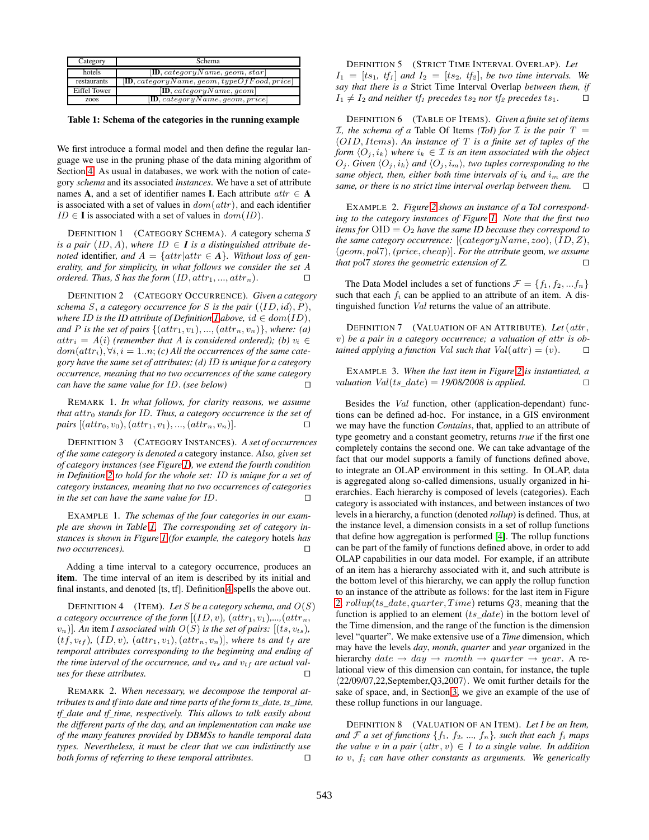| Category     | Schema                                                               |
|--------------|----------------------------------------------------------------------|
| hotels       | $[\mathbf{ID}, \mathit{categoryName}, \mathit{geom}, \mathit{star}]$ |
| restaurants  | $[D, categoryName, geom, typeOfFood, price]$                         |
| Eiffel Tower | [D, categoryName, geom]                                              |
| ZOOS         | [D, categoryName, geom, price]                                       |

**Table 1: Schema of the categories in the running example**

We first introduce a formal model and then define the regular language we use in the pruning phase of the data mining algorithm of Section 4. As usual in databases, we work with the notion of category *schema* and its associated *instances*. We have a set of attribute names **A**, and a set of identifier names **I**. Each attribute  $attr \in \mathbf{A}$ is associated with a set of values in *dom*(*attr*)*,* and each identifier  $ID \in \mathbf{I}$  is associated with a set of values in  $dom(ID)$ .

DEFINITION 1 (CATEGORY SCHEMA). *A* category schema *S is a pair*  $(ID, A)$ *, where*  $ID \in I$  *is a distinguished attribute denoted* identifier, and  $A = \{attr | attr \in A\}$ . Without loss of gen*erality, and for simplicity, in what follows we consider the set A ordered. Thus, S has the form*  $(ID, attr_1, ..., attr_n)$ .  $\Box$ 

DEFINITION 2 (CATEGORY OCCURRENCE). *Given a category schema S, a category occurrence* for *S is the pair*  $(\langle ID, id \rangle, P)$ *, where ID* is the *ID* attribute of Definition 1 above,  $id \in dom(ID)$ , *and P* is the set of pairs  $\{(attr_1, v_1), ..., (attr_n, v_n)\}$ , where: (a)  $attr_i = A(i)$  (remember that *A* is considered ordered); (b)  $v_i \in$  $dom(a t t r_i)$ ,  $\forall i, i = 1..n$ ; *(c) All the occurrences of the same category have the same set of attributes; (d) ID is unique for a category occurrence, meaning that no two occurrences of the same category can have the same value for ID. (see below)*  $\Box$ 

REMARK 1. *In what follows, for clarity reasons, we assume that attr*<sup>0</sup> *stands for ID. Thus, a category occurrence is the set of*  $pairs$  [( $attr_0, v_0$ )*,* ( $attr_1, v_1$ )*, ...,* ( $attr_n, v_n$ )].  $\Box$ 

DEFINITION 3 (CATEGORY INSTANCES). *A set of occurrences of the same category is denoted a* category instance. *Also, given set of category instances (see Figure 1), we extend the fourth condition in Definition 2 to hold for the whole set: ID is unique for a set of category instances, meaning that no two occurrences of categories in the set can have the same value for ID.* - $\Box$ 

EXAMPLE 1. *The schemas of the four categories in our example are shown in Table 1. The corresponding set of category instances is shown in Figure 1 (for example, the category* hotels *has*  $two$  *occurrences*).  $\Box$ 

Adding a time interval to a category occurrence, produces an **item**. The time interval of an item is described by its initial and final instants, and denoted [ts, tf]. Definition 4 spells the above out.

**DEFINITION 4** (ITEM). Let *S* be a category schema, and  $O(S)$ *a category occurrence of the form*  $[(ID, v), (attr_1, v_1), ..., (attr_n,$  $(v_n)$ ]. An item *I* associated with  $O(S)$  is the set of pairs:  $[(ts, v_{ts})$ ,  $(t, v_{tf})$ ,  $(ID, v)$ ,  $(attr_1, v_1)$ ,  $(attr_n, v_n)$ , where *ts* and  $t_f$  are *temporal attributes corresponding to the beginning and ending of the time interval of the occurrence, and vts and vtf are actual values for these attributes.* - $\Box$ 

REMARK 2. *When necessary, we decompose the temporal attributes ts and tf into date and time parts of the form ts\_date, ts\_time, tf\_date and tf\_time, respectively. This allows to talk easily about the different parts of the day, and an implementation can make use of the many features provided by DBMSs to handle temporal data types. Nevertheless, it must be clear that we can indistinctly use both forms of referring to these temporal attributes.* - $\Box$ 

DEFINITION 5 (STRICT TIME INTERVAL OVERLAP). *Let*  $I_1 = [ts_1, tf_1]$  *and*  $I_2 = [ts_2, tf_2]$ *, be two time intervals. We say that there is a* Strict Time Interval Overlap *between them, if*  $I_1 \neq I_2$  *and neither tf<sub>1</sub> precedes ts<sub>2</sub> <i>nor tf<sub>2</sub> precedes ts*<sub>1</sub>*.*  $\Box$ 

DEFINITION 6 (TABLE OF ITEMS). *Given a finite set of items I*, the schema of a Table Of Items *(ToI) for I* is the pair  $T =$ (*OID, Items*)*. An instance of T is a finite set of tuples of the form*  $\langle O_j, i_k \rangle$  *where*  $i_k \in \mathcal{I}$  *is an item associated with the object*  $O_j$ *. Given*  $\langle O_j, i_k \rangle$  and  $\langle O_j, i_m \rangle$ , two tuples corresponding to the *same object, then, either both time intervals of*  $i_k$  *and*  $i_m$  *are the same, or there is no strict time interval overlap between them.* -

EXAMPLE 2. *Figure 2 shows an instance of a ToI corresponding to the category instances of Figure 1. Note that the first two items for*  $OID = O_2$  *have the same ID because they correspond to the same category occurrence:* [(*categoryName, zoo*)*,* (*ID, Z*)*,* (*geom, pol*7)*, (price, cheap*)]*. For the attribute* geom*, we assume that pol*7 *stores the geometric extension of Z.* - $\Box$ 

The Data Model includes a set of functions  $\mathcal{F} = \{f_1, f_2, ... f_n\}$ such that each  $f_i$  can be applied to an attribute of an item. A distinguished function *Val* returns the value of an attribute.

DEFINITION 7 (VALUATION OF AN ATTRIBUTE). *Let* (*attr , v*) *be a pair in a category occurrence; a valuation of attr is obtained applying a function Val such that*  $Val (attr) = (v)$ . П

EXAMPLE 3. *When the last item in Figure 2 is instantiated, a valuation*  $Val(ts \ date) = 19/08/2008 \ is \ applied.$  $\Box$ 

Besides the *Val* function, other (application-dependant) functions can be defined ad-hoc. For instance, in a GIS environment we may have the function *Contains*, that, applied to an attribute of type geometry and a constant geometry, returns *true* if the first one completely contains the second one. We can take advantage of the fact that our model supports a family of functions defined above, to integrate an OLAP environment in this setting. In OLAP, data is aggregated along so-called dimensions, usually organized in hierarchies. Each hierarchy is composed of levels (categories). Each category is associated with instances, and between instances of two levels in a hierarchy, a function (denoted *rollup*) is defined. Thus, at the instance level, a dimension consists in a set of rollup functions that define how aggregation is performed [4]. The rollup functions can be part of the family of functions defined above, in order to add OLAP capabilities in our data model. For example, if an attribute of an item has a hierarchy associated with it, and such attribute is the bottom level of this hierarchy, we can apply the rollup function to an instance of the attribute as follows: for the last item in Figure 2, *rollup*(*ts*\_*date, quarter, T ime*) returns *Q*3*,* meaning that the function is applied to an element (*ts*\_*date*) in the bottom level of the Time dimension, and the range of the function is the dimension level "quarter". We make extensive use of a *Time* dimension, which may have the levels *day*, *month*, *quarter* and *year* organized in the hierarchy  $date \rightarrow day \rightarrow month \rightarrow quarter \rightarrow year$ . A relational view of this dimension can contain, for instance, the tuple 22/09/07,22,September,Q3,2007*.* We omit further details for the sake of space, and, in Section 3, we give an example of the use of these rollup functions in our language.

DEFINITION 8 (VALUATION OF AN ITEM). *Let I be an Item, and*  $\mathcal{F}$  *a set of functions*  $\{f_1, f_2, ..., f_n\}$ *, such that each*  $f_i$  *maps the value v in a pair*  $(attr, v) \in I$  *to a single value. In addition to v, f<sup>i</sup> can have other constants as arguments. We generically*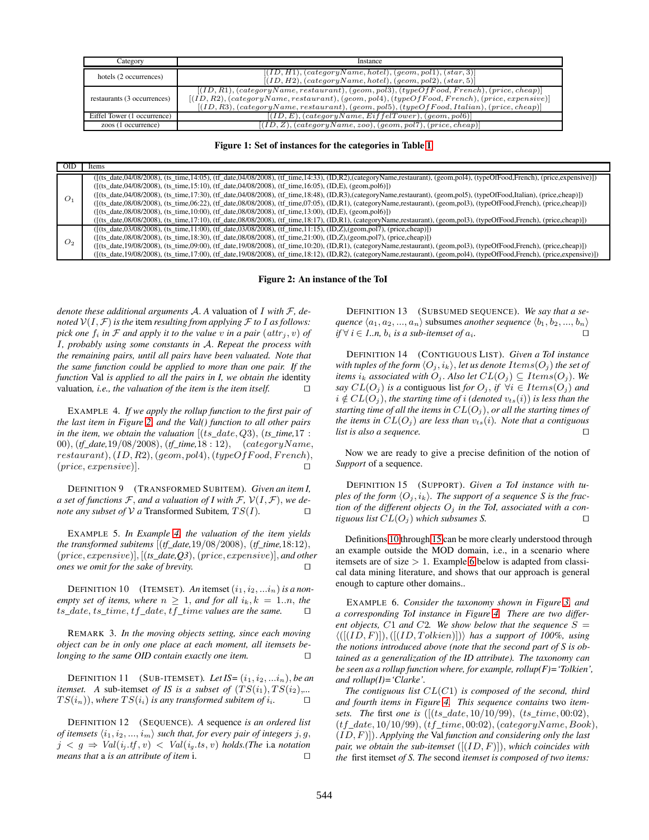| Category                    | Instance                                                                                                                                                                                                                                                                                          |
|-----------------------------|---------------------------------------------------------------------------------------------------------------------------------------------------------------------------------------------------------------------------------------------------------------------------------------------------|
| hotels (2 occurrences)      | $[(ID, H1), (categoryName, hotel), (geom, pol1), (star, 3)]$<br>$[(ID, H2), (categoryName, hotel), (geom, pol2), (star, 5)]$                                                                                                                                                                      |
| restaurants (3 occurrences) | $[(ID, R1), (categoryName, restaurant), (geom, pol3), (typeOfFood, French), (price, cheap)]$<br>$[(ID, R2), (categoryName, restaurant), (geom, pol4), (typeOfFood, French), (price, expensive)]$<br>$[(ID, R3), (categoryName, restaurant), (geom, pol5), (typeOfFood, Italian), (price, cheap)]$ |
| Eiffel Tower (1 occurrence) | $[(ID, E), (categoryName, Eiffell Tower), (geom, pol6)]$                                                                                                                                                                                                                                          |
| zoos (1 occurrence)         | $[(ID, Z), (categoryName, zoo), (geom, pol7), (price, cheap)]$                                                                                                                                                                                                                                    |

**Figure 1: Set of instances for the categories in Table 1**

| $\overline{OD}$ | Items                                                                                                                                                                                                                                                                                                                                                                                                                                                                                                                                                                                                                                                                                                                                                                                                                                                                                                                                                              |
|-----------------|--------------------------------------------------------------------------------------------------------------------------------------------------------------------------------------------------------------------------------------------------------------------------------------------------------------------------------------------------------------------------------------------------------------------------------------------------------------------------------------------------------------------------------------------------------------------------------------------------------------------------------------------------------------------------------------------------------------------------------------------------------------------------------------------------------------------------------------------------------------------------------------------------------------------------------------------------------------------|
| O <sub>1</sub>  | (f(ts_date,04/08/2008), (ts_time,14:05), (tf_date,04/08/2008), (tf_time,14:33), (ID,R2),(categoryName,restaurant), (geom,pol4), (typeOfFood,French), (price,expensive)])<br>$([fts_date, 04/08/2008), (ts_time, 15:10), (tf_date, 04/08/2008), (tf_time, 16:05), (ID, E), (geom, pol6)])$<br>$([fits date.04/08/2008), (ts time.17:30), (tf date.04/08/2008), (tf time.18:48), (ID.R3), (categoryName. restaurant), (geom.pol5), (typeOfFood, Italian), (price, cheap)])$<br>$([(ts_data, 08/08/2008), (ts_time, 06:22), (tf_data, 08/08/2008), (tf_time, 07:05), (ID, R1), (categoryName, restaurant), (geom, pol3), (typeOfFood, French), (price, cheap)])$<br>$([fts_date, 08/08/2008), (ts_time, 10:00), (tf_date, 08/08/2008), (tf_time, 13:00), (ID, E), (geom, pol6)])$<br>$([(ts_data, 08/08/2008), (ts_time, 17:10), (tf_data, 08/08/2008), (tf_time, 18:17), (ID, R1), (categoryName, restaurant), (geom, pol3), (typeOfFood, French), (price, cheap)])$ |
| O <sub>2</sub>  | $([$ (f(ts date,03/08/2008), (ts time,11:00), (tf date,03/08/2008), (tf time,11:15), (ID,Z),(geom,pol7), (price,cheap)])<br>$([f(ts\_date,08/08/2008), (ts\_time,18:30), (tf\_date,08/08/2008), (tf\_time,21:00), (ID,Z),(geom,pol7), (price, cheap)])$<br>([(ts_date,19/08/2008), (ts_time,09:00), (tf_date,19/08/2008), (tf_time,10:20), (ID,R1), (categoryName,restaurant), (geom,pol3), (typeOfFood,French), (price,cheap)])<br>$([(ts_data, 19/08/2008), (ts_time, 17:00), (tf_data, 19/08/2008), (tf_time, 18:12), (ID,R2), (categoryName, restaurant), (geom, pol4), (typeOfFood, French), (price, expensive)])$                                                                                                                                                                                                                                                                                                                                            |

**Figure 2: An instance of the ToI**

*denote these additional arguments* A*. A* valuation of *I with* F*, denoted*  $V(I, \mathcal{F})$  *is the item resulting from applying*  $\mathcal{F}$  *to I as follows: pick one*  $f_i$  *in*  $\mathcal F$  *and apply it to the value*  $v$  *in a pair*  $(attr_j, v)$  *of I, probably using some constants in* A*. Repeat the process with the remaining pairs, until all pairs have been valuated. Note that the same function could be applied to more than one pair. If the function* Val *is applied to all the pairs in I, we obtain the* identity valuation*, i.e., the valuation of the item is the item itself.* - $\Box$ 

EXAMPLE 4. *If we apply the rollup function to the first pair of the last item in Figure 2, and the Val() function to all other pairs in the item, we obtain the valuation*  $[(ts\_date, Q3), (ts\_time, 17 :$ 00)*,* (*tf\_date,*19*/*08*/*2008)*,* (*tf\_time,*18 : 12)*,* (*categoryName, restaurant*)*,* (*ID, R*2)*,* (*geom, pol*4)*,* (*typeOfF ood, F rench*)*,* (*price, expensive*)]*.* - $\Box$ 

DEFINITION 9 (TRANSFORMED SUBITEM). *Given an item I, a set of functions*  $\mathcal{F}$ *, and a valuation of I with*  $\mathcal{F}$ *,*  $\mathcal{V}(I, \mathcal{F})$ *, we denote any subset of*  $\mathcal V$  *a* Transformed Subitem,  $TS(I)$ .  $\Box$ 

EXAMPLE 5. *In Example 4, the valuation of the item yields the transformed subitems* [(*tf\_date,*19*/*08*/*2008)*,* (*tf\_time,*18:12)*,* (*price, expensive*)]*,* [(*ts\_date,Q3*)*,* (*price, expensive*)]*, and other ones we omit for the sake of brevity.* - $\Box$ 

**DEFINITION 10** (ITEMSET). An itemset  $(i_1, i_2, \ldots, i_n)$  is a non*empty set of items, where*  $n \geq 1$ *, and for all*  $i_k$ *, k* = 1*.n, the ts\_date, ts\_time, tf\_date, tf\_time values are the same.* - $\Box$ 

REMARK 3. *In the moving objects setting, since each moving object can be in only one place at each moment, all itemsets belonging to the same OID contain exactly one item.*  $\Box$ 

**DEFINITION 11** (SUB-ITEMSET). Let  $IS = (i_1, i_2, \ldots, i_n)$ , be an *itemset.* A sub-itemset of IS is a subset of  $(TS(i_1), TS(i_2),...$  $TS(i_n)$ ), where  $TS(i_i)$  *is any transformed subitem of*  $i_i$ *.*  $\Box$ 

DEFINITION 12 (SEQUENCE). *A* sequence *is an ordered list of itemsets*  $\langle i_1, i_2, ..., i_m \rangle$  *such that, for every pair of integers*  $j, g$ ,  $j < g \Rightarrow Val(i_j. tf, v) < Val(i_g. ts, v)$  *holds.(The* i.a *notation means that* a *is an attribute of item* i. - $\Box$ 

DEFINITION 13 (SUBSUMED SEQUENCE). *We say that a sequence*  $\langle a_1, a_2, ..., a_n \rangle$  subsumes *another sequence*  $\langle b_1, b_2, ..., b_n \rangle$ *if* ∀ *i* ∈ *1..n, b<sub>i</sub> is a sub-itemset of*  $a_i$ *.*  $\Box$ 

DEFINITION 14 (CONTIGUOUS LIST). *Given a ToI instance with tuples of the form*  $\langle O_i, i_k \rangle$ , *let us denote*  $Items(O_i)$  *the set of items*  $i_k$  *associated with*  $O_j$ *. Also let*  $CL(O_j) \subseteq \text{Items}(O_j)$ *. We say*  $CL(O_i)$  *is a* contiguous list *for*  $O_i$ *, if*  $\forall i \in \text{Items}(O_i)$  *and*  $i \notin CL(O_i)$ , the starting time of *i* (denoted  $v_{ts}(i)$ ) is less than the *starting time of all the items in*  $CL(O<sub>j</sub>)$ *, or all the starting times of the items in*  $CL(O<sub>j</sub>)$  *are less than*  $v<sub>ts</sub>(i)$ *. Note that a contiguous list is also a sequence.*  $\Box$ 

Now we are ready to give a precise definition of the notion of *Support* of a sequence.

DEFINITION 15 (SUPPORT). *Given a ToI instance with tuples of the form*  $\langle O_i, i_k \rangle$ . The support of a sequence S is the frac*tion of the different objects*  $O_j$  *in the ToI, associated with a contiguous list*  $CL(O_j)$  *which subsumes S.*  $\Box$ 

Definitions 10 through 15 can be more clearly understood through an example outside the MOD domain, i.e., in a scenario where itemsets are of size *>* 1. Example 6 below is adapted from classical data mining literature, and shows that our approach is general enough to capture other domains..

EXAMPLE 6. *Consider the taxonomy shown in Figure 3, and a corresponding ToI instance in Figure 4. There are two different objects,*  $C1$  *and*  $C2$ *. We show below that the sequence*  $S =$  $\langle ([(ID, F)]), ([(ID, Tolkien)]) \rangle$  *has a support of 100%, using the notions introduced above (note that the second part of S is obtained as a generalization of the ID attribute). The taxonomy can be seen as a rollup function where, for example, rollup(F)='Tolkien', and rollup(I)='Clarke'.*

*The contiguous list CL*(*C*1) *is composed of the second, third and fourth items in Figure 4. This sequence contains* two *itemsets. The* first *one is* ([(*ts\_date,* 10*/*10*/*99)*,* (*ts\_time,* 00:02)*,* (*tf\_date,* 10*/*10*/*99)*,* (*tf\_time,* 00:02)*,* (*categoryName, Book*)*,* (*ID, F*)])*. Applying the* Val *function and considering only the last pair, we obtain the sub-itemset* ([(*ID, F*)])*, which coincides with the* first itemset *of S. The* second *itemset is composed of two items:*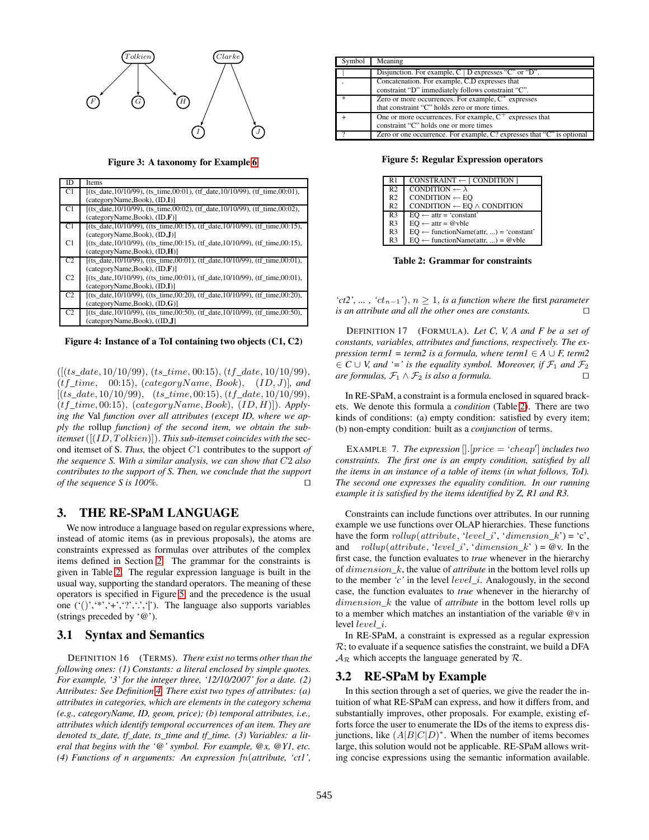

**Figure 3: A taxonomy for Example 6**

| ID             | Items                                                                                  |
|----------------|----------------------------------------------------------------------------------------|
| C1             | $I(ts$ date, $10/10/99$ ), (ts_time, 00:01), (tf_date, $10/10/99$ ), (tf_time, 00:01), |
|                | (categorvName, Book), (ID,I)                                                           |
| C1             | $[(ts_date,10/10/99), (ts_time,00:02), (tf_data,10/10/99), (tf time,00:02),$           |
|                | (categorvName, Book), (ID, F)                                                          |
| C1             | $[(ts date, 10/10/99), ((ts time, 00.15), (tf date, 10/10/99), (tf time, 00.15)]$      |
|                | (categorvName, Book), (ID, J)                                                          |
| C1             | $[(ts date, 10/10/99), ((ts time, 00:15), (tf date, 10/10/99), (tf time, 00:15)]$      |
|                | (categorvName, Book), (ID, H)                                                          |
| C <sub>2</sub> | $[(ts date, 10/10/99), ((ts time, 00:01), (tf date, 10/10/99), (tf time, 00:01),$      |
|                | (categorvName, Book), (ID, F)                                                          |
| C <sub>2</sub> | [(ts date, 10/10/99), ((ts time, 00:01), (tf date, 10/10/99), (tf time, 00:01),        |
|                | (categorvName, Book), (ID, I)                                                          |
| C <sub>2</sub> | [(ts date, 10/10/99), ((ts time, 00:20), (tf date, 10/10/99), (tf time, 00:20),        |
|                | (categorvName, Book), (ID, G)                                                          |
| C <sub>2</sub> | $[(ts date, 10/10/99), ((ts time, 00:50), (tf date, 10/10/99), (tf time, 00:50),$      |
|                | (categoryName,Book), ((ID,J)                                                           |

**Figure 4: Instance of a ToI containing two objects (C1, C2)**

([(*ts\_date,* 10*/*10*/*99)*,* (*ts\_time,* 00:15)*,* (*tf\_date,* 10*/*10*/*99)*,* (*tf\_time,* 00:15)*,* (*categoryName, Book*)*,* (*ID, J*)]*, and* [(*ts\_date,* 10*/*10*/*99)*,* (*ts\_time,* 00:15)*,* (*tf\_date,* 10*/*10*/*99)*,* (*tf\_time,* 00:15)*,* (*categoryName, Book*)*,* (*ID, H*)])*. Applying the* Val *function over all attributes (except ID, where we apply the* rollup *function) of the second item, we obtain the subitemset* ([(*ID, T olkien*)])*. This sub-itemset coincides with the* second itemset of S. *Thus,* the object *C*1 contributes to the support *of the sequence S. With a similar analysis, we can show that C*2 *also contributes to the support of S. Then, we conclude that the support of the sequence S is 100%.*  $\Box$ 

## **3. THE RE-SPaM LANGUAGE**

We now introduce a language based on regular expressions where, instead of atomic items (as in previous proposals), the atoms are constraints expressed as formulas over attributes of the complex items defined in Section 2. The grammar for the constraints is given in Table 2. The regular expression language is built in the usual way, supporting the standard operators. The meaning of these operators is specified in Figure 5, and the precedence is the usual one  $(')', '*, '+', '?', '. '')$ . The language also supports variables (strings preceded by '@').

## **3.1 Syntax and Semantics**

DEFINITION 16 (TERMS). *There exist no* terms *other than the following ones: (1) Constants: a literal enclosed by simple quotes. For example, '3' for the integer three, '12/10/2007' for a date. (2) Attributes: See Definition 4. There exist two types of attributes: (a) attributes in categories, which are elements in the category schema (e.g., categoryName, ID, geom, price); (b) temporal attributes, i.e., attributes which identify temporal occurrences of an item. They are denoted ts\_date, tf\_date, ts\_time and tf\_time. (3) Variables: a literal that begins with the '@' symbol. For example, @x, @Y1, etc. (4) Functions of n arguments: An expression fn*(*attribute, 'ct1',*

| Symbol | Meaning                                                                                                 |
|--------|---------------------------------------------------------------------------------------------------------|
|        | Disjunction. For example, C   D expresses "C" or "D".                                                   |
|        | Concatenation. For example, C.D expresses that<br>constraint "D" immediately follows constraint "C".    |
| 宋      | Zero or more occurrences. For example, $C^*$ expresses<br>that constraint "C" holds zero or more times. |
|        | One or more occurrences. For example, $C^+$ expresses that<br>constraint "C" holds one or more times    |
|        | Zero or one occurrence. For example, C? expresses that "C" is optional                                  |

**Figure 5: Regular Expression operators**

| R1             | CONSTRAINT $\leftarrow$ [ CONDITION ]             |
|----------------|---------------------------------------------------|
| R <sub>2</sub> | CONDITION $\leftarrow \lambda$                    |
| R <sub>2</sub> | $CONDITION \leftarrow EO$                         |
| R <sub>2</sub> | CONDITION $\leftarrow$ EQ $\wedge$ CONDITION      |
| R <sub>3</sub> | $EQ \leftarrow$ attr = 'constant'                 |
| R <sub>3</sub> | $EQ \leftarrow$ attr = @vble                      |
| R <sub>3</sub> | $EQ \leftarrow$ functionName(attr, ) = 'constant' |
| R <sub>3</sub> | $EO \leftarrow functionName(attr, ) = @vble$      |

**Table 2: Grammar for constraints**

*'* $ct2$ ', ...,  $'ct_{n-1}$ '),  $n > 1$ , *is a function where the first parameter is an attribute and all the other ones are constants.* - $\Box$ 

DEFINITION 17 (FORMULA). *Let C, V, A and F be a set of constants, variables, attributes and functions, respectively. The expression term1* = *term2 is a formula, where term1*  $\in$  *A*  $\cup$  *F, term2*  $\in C \cup V$ , and '=' is the equality symbol. Moreover, if  $\mathcal{F}_1$  and  $\mathcal{F}_2$ *are formulas,*  $\mathcal{F}_1 \wedge \mathcal{F}_2$  *is also a formula.*  $\Box$ 

In RE-SPaM, a constraint is a formula enclosed in squared brackets. We denote this formula a *condition* (Table 2). There are two kinds of conditions: (a) empty condition: satisfied by every item; (b) non-empty condition: built as a *conjunction* of terms.

EXAMPLE 7. *The expression*  $[].[price = 'cheap']$  *includes two constraints. The first one is an empty condition, satisfied by all the items in an instance of a table of items (in what follows, ToI). The second one expresses the equality condition. In our running example it is satisfied by the items identified by Z, R1 and R3.*

Constraints can include functions over attributes. In our running example we use functions over OLAP hierarchies. These functions have the form  $rollup(attribute, 'level_i', 'dimension_k') = 'c',$ and  $rollup(attribute, 'level_i', 'dimension_k') = @v.$  In the first case, the function evaluates to *true* whenever in the hierarchy of *dimension*\_*k*, the value of *attribute* in the bottom level rolls up to the member *'c'* in the level *level*\_*i*. Analogously, in the second case, the function evaluates to *true* whenever in the hierarchy of *dimension*\_*k* the value of *attribute* in the bottom level rolls up to a member which matches an instantiation of the variable @v in level *level*\_*i*.

In RE-SPaM, a constraint is expressed as a regular expression  $\mathcal{R}$ ; to evaluate if a sequence satisfies the constraint, we build a DFA  $A_{\mathcal{R}}$  which accepts the language generated by  $\mathcal{R}$ .

## **3.2 RE-SPaM by Example**

In this section through a set of queries, we give the reader the intuition of what RE-SPaM can express, and how it differs from, and substantially improves, other proposals. For example, existing efforts force the user to enumerate the IDs of the items to express disjunctions, like  $(A|B|C|D)^*$ . When the number of items becomes large, this solution would not be applicable. RE-SPaM allows writing concise expressions using the semantic information available.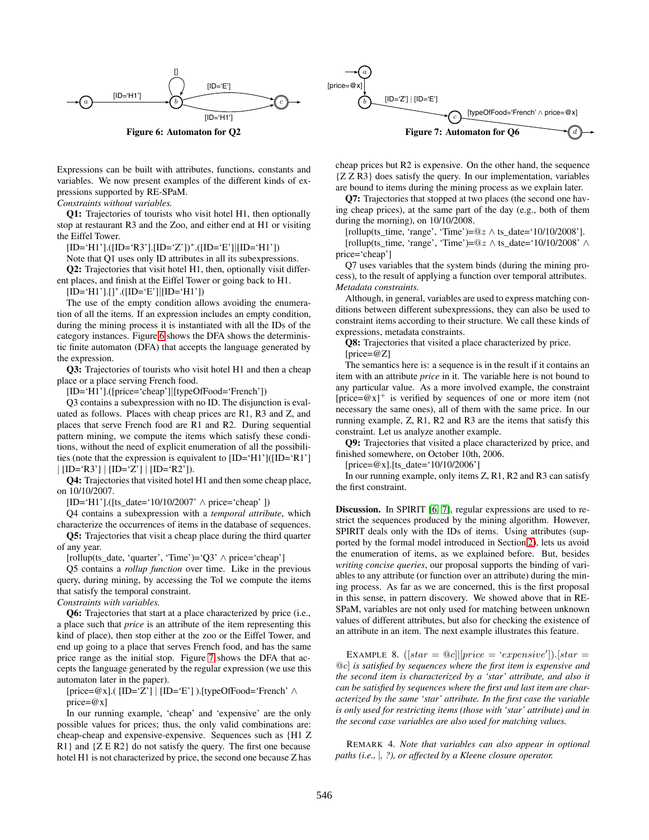

Expressions can be built with attributes, functions, constants and variables. We now present examples of the different kinds of expressions supported by RE-SPaM.

*Constraints without variables.*

**Q1:** Trajectories of tourists who visit hotel H1, then optionally stop at restaurant R3 and the Zoo, and either end at H1 or visiting the Eiffel Tower.

 $[ID='H1'].([ID='R3'].[ID='Z'])*.([ID='E'][ID='H1'])]$ 

Note that Q1 uses only ID attributes in all its subexpressions.

**Q2:** Trajectories that visit hotel H1, then, optionally visit different places, and finish at the Eiffel Tower or going back to H1.

 $[ID='H1'].[]<sup>*</sup>.([ID='E'][ID='H1'])$ 

The use of the empty condition allows avoiding the enumeration of all the items. If an expression includes an empty condition, during the mining process it is instantiated with all the IDs of the category instances. Figure 6 shows the DFA shows the deterministic finite automaton (DFA) that accepts the language generated by the expression.

**Q3:** Trajectories of tourists who visit hotel H1 and then a cheap place or a place serving French food.

[ID='H1'].([price='cheap']|[typeOfFood='French'])

Q3 contains a subexpression with no ID. The disjunction is evaluated as follows. Places with cheap prices are R1, R3 and Z, and places that serve French food are R1 and R2. During sequential pattern mining, we compute the items which satisfy these conditions, without the need of explicit enumeration of all the possibilities (note that the expression is equivalent to [ID='H1']([ID='R1']  $|[ID='R3'] | [ID='Z'] | [ID='R2']].$ 

**Q4:** Trajectories that visited hotel H1 and then some cheap place, on 10/10/2007.

 $[ID='H1'].([ts\_date='10/10/2007' \wedge price='cheap'] )$ 

Q4 contains a subexpression with a *temporal attribute*, which characterize the occurrences of items in the database of sequences.

**Q5:** Trajectories that visit a cheap place during the third quarter of any year.

[rollup(ts\_date, 'quarter', 'Time')='Q3' ∧ price='cheap']

Q5 contains a *rollup function* over time. Like in the previous query, during mining, by accessing the ToI we compute the items that satisfy the temporal constraint.

*Constraints with variables.*

**Q6:** Trajectories that start at a place characterized by price (i.e., a place such that *price* is an attribute of the item representing this kind of place), then stop either at the zoo or the Eiffel Tower, and end up going to a place that serves French food, and has the same price range as the initial stop. Figure 7 shows the DFA that accepts the language generated by the regular expression (we use this automaton later in the paper).

 $[price=\mathcal{Q}_X]$ .(  $[ID='Z'] | [ID='E']$ ).[typeOfFood='French'  $\wedge$ price= $@x]$ 

In our running example, 'cheap' and 'expensive' are the only possible values for prices; thus, the only valid combinations are: cheap-cheap and expensive-expensive. Sequences such as {H1 Z R1} and {Z E R2} do not satisfy the query. The first one because hotel H1 is not characterized by price, the second one because Z has



cheap prices but R2 is expensive. On the other hand, the sequence {Z Z R3} does satisfy the query. In our implementation, variables are bound to items during the mining process as we explain later.

**Q7:** Trajectories that stopped at two places (the second one having cheap prices), at the same part of the day (e.g., both of them during the morning), on 10/10/2008.

[rollup(ts\_time, 'range', 'Time')=@*z* ∧ ts\_date='10/10/2008'].

[rollup(ts\_time, 'range', 'Time')=@*z* ∧ ts\_date='10/10/2008' ∧ price='cheap']

Q7 uses variables that the system binds (during the mining process), to the result of applying a function over temporal attributes. *Metadata constraints.*

Although, in general, variables are used to express matching conditions between different subexpressions, they can also be used to constraint items according to their structure. We call these kinds of expressions, metadata constraints.

**Q8:** Trajectories that visited a place characterized by price. [price=@Z]

The semantics here is: a sequence is in the result if it contains an item with an attribute *price* in it. The variable here is not bound to any particular value. As a more involved example, the constraint [price= $@x$ ]<sup>+</sup> is verified by sequences of one or more item (not necessary the same ones), all of them with the same price. In our running example, Z, R1, R2 and R3 are the items that satisfy this constraint. Let us analyze another example.

**Q9:** Trajectories that visited a place characterized by price, and finished somewhere, on October 10th, 2006.

 $[price = @x]$ . [ts date='10/10/2006']

In our running example, only items Z, R1, R2 and R3 can satisfy the first constraint.

**Discussion.** In SPIRIT [6, 7], regular expressions are used to restrict the sequences produced by the mining algorithm. However, SPIRIT deals only with the IDs of items. Using attributes (supported by the formal model introduced in Section 2), lets us avoid the enumeration of items, as we explained before. But, besides *writing concise queries*, our proposal supports the binding of variables to any attribute (or function over an attribute) during the mining process. As far as we are concerned, this is the first proposal in this sense, in pattern discovery. We showed above that in RE-SPaM, variables are not only used for matching between unknown values of different attributes, but also for checking the existence of an attribute in an item. The next example illustrates this feature.

EXAMPLE 8.  $([star = \textcircled{a}c] | [price = 'expensive']). [star =$ @*c*] *is satisfied by sequences where the first item is expensive and the second item is characterized by a 'star' attribute, and also it can be satisfied by sequences where the first and last item are characterized by the same 'star' attribute. In the first case the variable is only used for restricting items (those with 'star' attribute) and in the second case variables are also used for matching values.*

REMARK 4. *Note that variables can also appear in optional paths (i.e.,* |*, ?), or affected by a Kleene closure operator.*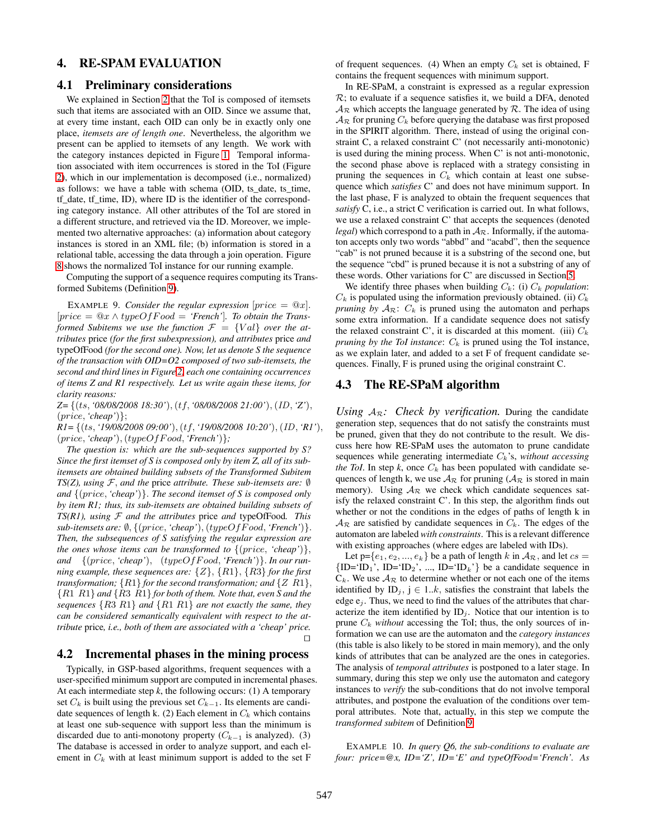# **4. RE-SPAM EVALUATION**

#### **4.1 Preliminary considerations**

We explained in Section 2 that the ToI is composed of itemsets such that items are associated with an OID. Since we assume that, at every time instant, each OID can only be in exactly only one place, *itemsets are of length one*. Nevertheless, the algorithm we present can be applied to itemsets of any length. We work with the category instances depicted in Figure 1. Temporal information associated with item occurrences is stored in the ToI (Figure 2), which in our implementation is decomposed (i.e., normalized) as follows: we have a table with schema (OID, ts\_date, ts\_time, tf\_date, tf\_time, ID), where ID is the identifier of the corresponding category instance. All other attributes of the ToI are stored in a different structure, and retrieved via the ID. Moreover, we implemented two alternative approaches: (a) information about category instances is stored in an XML file; (b) information is stored in a relational table, accessing the data through a join operation. Figure 8 shows the normalized ToI instance for our running example.

Computing the support of a sequence requires computing its Transformed Subitems (Definition 9).

EXAMPLE 9. *Consider the regular expression*  $|price = \mathcal{Q}x|$ *.*  $[price = \mathcal{Q}x \wedge typeOfFood = 'French'.$  To obtain the Trans*formed Subitems we use the function*  $\mathcal{F} = \{Val\}$  *over the attributes* price *(for the first subexpression), and attributes* price *and* typeOfFood *(for the second one). Now, let us denote S the sequence of the transaction with OID=O2 composed of two sub-itemsets, the second and third lines in Figure 2, each one containing occurrences of items Z and R1 respectively. Let us write again these items, for clarity reasons:*

*Z=* {(*ts, '08/08/2008 18:30'*)*,* (*tf,'08/08/2008 21:00'*)*,* (*ID, 'Z'*)*,* (*price, 'cheap'*)};

*R1=* {(*ts, '19/08/2008 09:00'*)*,* (*tf, '19/08/2008 10:20'*)*,* (*ID, 'R1'*)*,* (*price, 'cheap'*)*,* (*typeOfF ood,'French'*)}*;*

*The question is: which are the sub-sequences supported by S? Since the first itemset of S is composed only by item Z, all of its subitemsets are obtained building subsets of the Transformed Subitem TS(Z), using*  $F$ *, and the price attribute. These sub-itemsets are: ℚ and* {(*price, 'cheap'*)}*. The second itemset of S is composed only by item R1; thus, its sub-itemsets are obtained building subsets of*  $TS(R1)$ , using  $F$  and the attributes price and typeOfFood. This *sub-itemsets are:* ∅*,* {(*price, 'cheap'*)*,* (*typeOfF ood, 'French'*)}*. Then, the subsequences of S satisfying the regular expression are the ones whose items can be transformed to* {(*price, 'cheap'*)}*, and* {(*price, 'cheap'*)*,* (*typeOfF ood, 'French'*)}*. In our running example, these sequences are:* {*Z*}*,* {*R*1}*,* {*R*3} *for the first transformation;* {*R*1} *for the second transformation; and* {*Z R*1}*,* {*R*1 *R*1} *and* {*R*3 *R*1} *for both of them. Note that, even S and the sequences* {*R*3 *R*1} *and* {*R*1 *R*1} *are not exactly the same, they can be considered semantically equivalent with respect to the attribute* price*, i.e., both of them are associated with a 'cheap' price.*  $\Box$  $\Box$ 

## **4.2 Incremental phases in the mining process**

Typically, in GSP-based algorithms, frequent sequences with a user-specified minimum support are computed in incremental phases. At each intermediate step  $k$ , the following occurs: (1) A temporary set  $C_k$  is built using the previous set  $C_{k-1}$ . Its elements are candidate sequences of length k. (2) Each element in  $C_k$  which contains at least one sub-sequence with support less than the minimum is discarded due to anti-monotony property  $(C_{k-1}$  is analyzed). (3) The database is accessed in order to analyze support, and each element in  $C_k$  with at least minimum support is added to the set  $F$ 

of frequent sequences. (4) When an empty *C<sup>k</sup>* set is obtained, F contains the frequent sequences with minimum support.

In RE-SPaM, a constraint is expressed as a regular expression  $\mathcal{R}$ ; to evaluate if a sequence satisfies it, we build a DFA, denoted  $A_{\mathcal{R}}$  which accepts the language generated by  $\mathcal{R}$ . The idea of using  $\mathcal{A}_{\mathcal{R}}$  for pruning  $C_k$  before querying the database was first proposed in the SPIRIT algorithm. There, instead of using the original constraint C, a relaxed constraint C' (not necessarily anti-monotonic) is used during the mining process. When C' is not anti-monotonic, the second phase above is replaced with a strategy consisting in pruning the sequences in  $C_k$  which contain at least one subsequence which *satisfies* C' and does not have minimum support. In the last phase, F is analyzed to obtain the frequent sequences that *satisfy* C, i.e., a strict C verification is carried out. In what follows, we use a relaxed constraint C' that accepts the sequences (denoted *legal*) which correspond to a path in  $A_{\mathcal{R}}$ . Informally, if the automaton accepts only two words "abbd" and "acabd", then the sequence "cab" is not pruned because it is a substring of the second one, but the sequence "cbd" is pruned because it is not a substring of any of these words. Other variations for C' are discussed in Section 5.

We identify three phases when building  $C_k$ : (i)  $C_k$  *population*:  $C_k$  is populated using the information previously obtained. (ii)  $C_k$ *pruning by*  $A_{\mathcal{R}}$ :  $C_k$  is pruned using the automaton and perhaps some extra information. If a candidate sequence does not satisfy the relaxed constraint C', it is discarded at this moment. (iii)  $C_k$ *pruning by the ToI instance:*  $C_k$  is pruned using the ToI instance, as we explain later, and added to a set F of frequent candidate sequences. Finally, F is pruned using the original constraint C.

## **4.3 The RE-SPaM algorithm**

*Using*  $A_{\mathcal{R}}$ : *Check by verification*. During the candidate generation step, sequences that do not satisfy the constraints must be pruned, given that they do not contribute to the result. We discuss here how RE-SPaM uses the automaton to prune candidate sequences while generating intermediate *Ck*'s, *without accessing the ToI*. In step  $k$ , once  $C_k$  has been populated with candidate sequences of length k, we use  $A_{\mathcal{R}}$  for pruning ( $A_{\mathcal{R}}$  is stored in main memory). Using  $A_{\mathcal{R}}$  we check which candidate sequences satisfy the relaxed constraint C'. In this step, the algorithm finds out whether or not the conditions in the edges of paths of length k in  $A_{\mathcal{R}}$  are satisfied by candidate sequences in  $C_k$ . The edges of the automaton are labeled *with constraints*. This is a relevant difference with existing approaches (where edges are labeled with IDs).

Let  $p = \{e_1, e_2, ..., e_k\}$  be a path of length *k* in  $A_{\mathcal{R}}$ , and let  $cs =$  ${ID='ID_1', ID='ID_2', ..., ID='ID_k'}$  be a candidate sequence in  $C_k$ . We use  $A_{\mathcal{R}}$  to determine whether or not each one of the items identified by  $ID_j$ ,  $j \in 1..k$ , satisfies the constraint that labels the edge  $e_j$ . Thus, we need to find the values of the attributes that characterize the item identified by  $ID_i$ . Notice that our intention is to prune  $C_k$  *without* accessing the ToI; thus, the only sources of information we can use are the automaton and the *category instances* (this table is also likely to be stored in main memory), and the only kinds of attributes that can be analyzed are the ones in categories. The analysis of *temporal attributes* is postponed to a later stage. In summary, during this step we only use the automaton and category instances to *verify* the sub-conditions that do not involve temporal attributes, and postpone the evaluation of the conditions over temporal attributes. Note that, actually, in this step we compute the *transformed subitem* of Definition 9.

EXAMPLE 10. *In query Q6, the sub-conditions to evaluate are four: price=@x, ID='Z', ID='E' and typeOfFood='French'. As*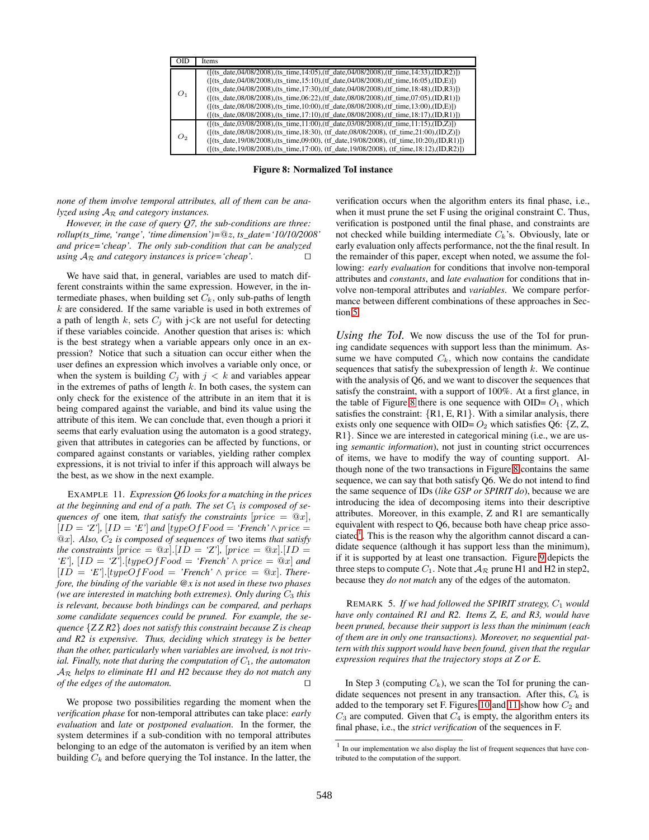|                | Items                                                                                                                                                                                                                                                                                                                                                                                                                                                                                                                                                                                           |
|----------------|-------------------------------------------------------------------------------------------------------------------------------------------------------------------------------------------------------------------------------------------------------------------------------------------------------------------------------------------------------------------------------------------------------------------------------------------------------------------------------------------------------------------------------------------------------------------------------------------------|
| O <sub>1</sub> | $([$ (f(ts date,04/08/2008),(ts time,14:05),(tf date,04/08/2008),(tf time,14:33),(ID,R2)])<br>$([ (ts_data, 04/08/2008), (ts_time, 15:10), (tf_data, 04/08/2008), (tf_time, 16:05), (ID, E) ] )$<br>$([ (ts_data, 04/08/2008), (ts_time, 17:30), (tf_data, 04/08/2008), (tf_time, 18:48), (ID,R3) ] )$<br>$([$ (f(ts date,08/08/2008),(ts time,06:22),(tf date,08/08/2008),(tf time,07:05),(ID,R1)])<br>$([$ (f(ts date,08/08/2008),(ts time,10:00),(tf date,08/08/2008),(tf time,13:00),(ID,E)])<br>$([$ (f(ts date,08/08/2008),(ts time,17:10),(tf date,08/08/2008),(tf time,18:17),(ID,R1)]) |
| O2             | $(f(t_s \text{ date}, 03/08/2008), (ts_time, 11:00), (tf_data, 03/08/2008), (tf_time, 11:15), (ID, Z)])$<br>$([$ (f(ts date,08/08/2008),(ts time,18:30), (tf date,08/08/2008), (tf time,21:00),(ID,Z) )<br>(((ts date,19/08/2008),(ts time,09:00), (tf date,19/08/2008), (tf time,10:20),(ID,R1)])<br>( $[($ ts date, $19/08/2008)$ , $($ ts time, $17:00$ ), (tf date, $19/08/2008$ ), (tf time, $18:12$ ), $($ ID,R2)])                                                                                                                                                                       |

**Figure 8: Normalized ToI instance**

*none of them involve temporal attributes, all of them can be analyzed using* A<sup>R</sup> *and category instances.*

*However, in the case of query Q7, the sub-conditions are three: rollup(ts\_time, 'range', 'time dimension')=*@*z, ts\_date='10/10/2008' and price='cheap'. The only sub-condition that can be analyzed using*  $A_{\mathcal{R}}$  *and category instances is price='cheap'.*  $\Box$ 

We have said that, in general, variables are used to match different constraints within the same expression. However, in the intermediate phases, when building set  $C_k$ , only sub-paths of length *k* are considered. If the same variable is used in both extremes of a path of length  $k$ , sets  $C_j$  with  $j < k$  are not useful for detecting if these variables coincide. Another question that arises is: which is the best strategy when a variable appears only once in an expression? Notice that such a situation can occur either when the user defines an expression which involves a variable only once, or when the system is building  $C_j$  with  $j < k$  and variables appear in the extremes of paths of length *k.* In both cases, the system can only check for the existence of the attribute in an item that it is being compared against the variable, and bind its value using the attribute of this item. We can conclude that, even though a priori it seems that early evaluation using the automaton is a good strategy, given that attributes in categories can be affected by functions, or compared against constants or variables, yielding rather complex expressions, it is not trivial to infer if this approach will always be the best, as we show in the next example.

EXAMPLE 11. *Expression Q6 looks for a matching in the prices* at the beginning and end of a path. The set  $C_1$  is composed of se*quences of* one item, that satisfy the constraints  $[price = \mathcal{Q}x]$ ,  $[ID = 'Z']$ ,  $[ID = 'E']$  and  $[typeOfFood = 'French' \wedge price =$  $@x$ ]. Also,  $C_2$  *is composed of sequences of two items that satisfy the constraints*  $[price = \mathcal{Q}x]$ *.*[ $ID = \mathcal{Z}'$ ]*,*  $[price = \mathcal{Q}x]$ *.*[ $ID = \mathcal{Z}'$ ]*,* [ $ID = \mathcal{Z}'$ ]*,* [ $ID = \mathcal{Z}'$ ]*,* [ $ID = \mathcal{Z}'$ ]*,* [ $ID = \mathcal{Z}'$ ]*,* [ $ID = \mathcal{Z}'$ ]*,* [ $ID = \mathcal{Z}'$ ]*,* [ $ID = \mathcal{Z}'$ ]*,* [ $ID = \mathcal{Z}'$ ]*,* [ $ID = \mathcal{Z}'$ *'E'*]*,*  $[ID = 'Z']$ *.*[*typeOfFood* = *'French'*  $\land$  *price* = @*x*] *and*  $[ID = 'E']. [typeOfFood = 'French' \wedge price = @x].$  *Therefore, the binding of the variable @x is not used in these two phases (we are interested in matching both extremes). Only during C*<sup>3</sup> *this is relevant, because both bindings can be compared, and perhaps some candidate sequences could be pruned. For example, the sequence* {*Z Z R2*} *does not satisfy this constraint because Z is cheap and R2 is expensive. Thus, deciding which strategy is be better than the other, particularly when variables are involved, is not trivial. Finally, note that during the computation of*  $C_1$ *, the automaton* A<sup>R</sup> *helps to eliminate H1 and H2 because they do not match any*  $of$  the edges of the automaton.  $\Box$ 

We propose two possibilities regarding the moment when the *verification phase* for non-temporal attributes can take place: *early evaluation* and *late* or *postponed evaluation*. In the former, the system determines if a sub-condition with no temporal attributes belonging to an edge of the automaton is verified by an item when building  $C_k$  and before querying the ToI instance. In the latter, the

verification occurs when the algorithm enters its final phase, i.e., when it must prune the set F using the original constraint C. Thus, verification is postponed until the final phase, and constraints are not checked while building intermediate *Ck*'s. Obviously, late or early evaluation only affects performance, not the the final result. In the remainder of this paper, except when noted, we assume the following: *early evaluation* for conditions that involve non-temporal attributes and *constants*, and *late evaluation* for conditions that involve non-temporal attributes and *variables*. We compare performance between different combinations of these approaches in Section 5.

*Using the ToI.* We now discuss the use of the ToI for pruning candidate sequences with support less than the minimum. Assume we have computed  $C_k$ , which now contains the candidate sequences that satisfy the subexpression of length *k*. We continue with the analysis of Q6, and we want to discover the sequences that satisfy the constraint, with a support of 100%. At a first glance, in the table of Figure 8 there is one sequence with  $OID = O<sub>1</sub>$ , which satisfies the constraint:  $\{R1, E, R1\}$ . With a similar analysis, there exists only one sequence with OID=  $O_2$  which satisfies Q6: {Z, Z, R1}. Since we are interested in categorical mining (i.e., we are using *semantic information*), not just in counting strict occurrences of items, we have to modify the way of counting support. Although none of the two transactions in Figure 8 contains the same sequence, we can say that both satisfy Q6. We do not intend to find the same sequence of IDs (*like GSP or SPIRIT do*), because we are introducing the idea of decomposing items into their descriptive attributes. Moreover, in this example, Z and R1 are semantically equivalent with respect to Q6, because both have cheap price asso $ciated<sup>1</sup>$ . This is the reason why the algorithm cannot discard a candidate sequence (although it has support less than the minimum), if it is supported by at least one transaction. Figure 9 depicts the three steps to compute  $C_1$ . Note that  $A_{\mathcal{R}}$  prune H1 and H2 in step2, because they *do not match* any of the edges of the automaton.

REMARK 5. *If we had followed the SPIRIT strategy, C*<sup>1</sup> *would have only contained R1 and R2. Items Z, E, and R3, would have been pruned, because their support is less than the minimum (each of them are in only one transactions). Moreover, no sequential pattern with this support would have been found, given that the regular expression requires that the trajectory stops at Z or E.*

In Step 3 (computing  $C_k$ ), we scan the ToI for pruning the candidate sequences not present in any transaction. After this,  $C_k$  is added to the temporary set F. Figures 10 and 11 show how  $C_2$  and  $C_3$  are computed. Given that  $C_4$  is empty, the algorithm enters its final phase, i.e., the *strict verification* of the sequences in F.

 $1$  In our implementation we also display the list of frequent sequences that have contributed to the computation of the support.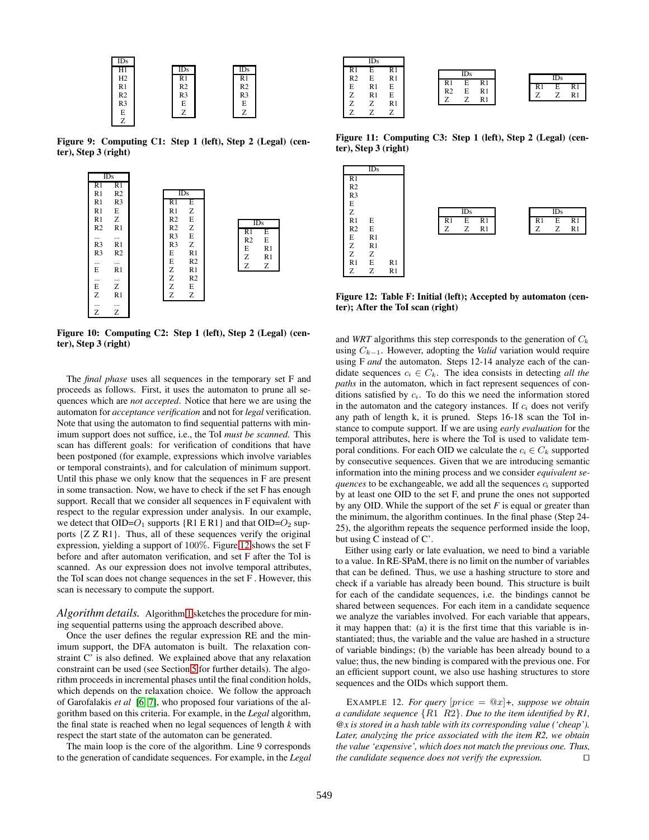

**Figure 9: Computing C1: Step 1 (left), Step 2 (Legal) (center), Step 3 (right)**



**Figure 10: Computing C2: Step 1 (left), Step 2 (Legal) (center), Step 3 (right)**

The *final phase* uses all sequences in the temporary set F and proceeds as follows. First, it uses the automaton to prune all sequences which are *not accepted*. Notice that here we are using the automaton for *acceptance verification* and not for *legal* verification. Note that using the automaton to find sequential patterns with minimum support does not suffice, i.e., the ToI *must be scanned.* This scan has different goals: for verification of conditions that have been postponed (for example, expressions which involve variables or temporal constraints), and for calculation of minimum support. Until this phase we only know that the sequences in F are present in some transaction. Now, we have to check if the set F has enough support. Recall that we consider all sequences in F equivalent with respect to the regular expression under analysis. In our example, we detect that  $OID = O_1$  supports  ${R1 \in R1}$  and that  $OID = O_2$  supports {Z Z R1}. Thus, all of these sequences verify the original expression, yielding a support of 100%. Figure 12 shows the set F before and after automaton verification, and set F after the ToI is scanned. As our expression does not involve temporal attributes, the ToI scan does not change sequences in the set F . However, this scan is necessary to compute the support.

*Algorithm details.* Algorithm 1 sketches the procedure for mining sequential patterns using the approach described above.

Once the user defines the regular expression RE and the minimum support, the DFA automaton is built. The relaxation constraint C' is also defined. We explained above that any relaxation constraint can be used (see Section 5 for further details). The algorithm proceeds in incremental phases until the final condition holds, which depends on the relaxation choice. We follow the approach of Garofalakis *et al* [6, 7], who proposed four variations of the algorithm based on this criteria. For example, in the *Legal* algorithm, the final state is reached when no legal sequences of length *k* with respect the start state of the automaton can be generated.

The main loop is the core of the algorithm. Line 9 corresponds to the generation of candidate sequences. For example, in the *Legal*

|   |                | IDs |    |                |            |    |  |   |                   |    |
|---|----------------|-----|----|----------------|------------|----|--|---|-------------------|----|
|   | R1             | E   | R1 |                | <b>IDs</b> |    |  |   |                   |    |
| I | R <sub>2</sub> | E   | R1 | R1             | E          | R1 |  |   | $\overline{ID}_S$ |    |
|   | E              | R1  | E  | R <sub>2</sub> | E          | R1 |  |   | E                 |    |
|   | z              | R1  | E  | 7              |            | R1 |  | – |                   | R1 |
|   |                |     | R1 |                |            |    |  |   |                   |    |
|   |                |     |    |                |            |    |  |   |                   |    |

**Figure 11: Computing C3: Step 1 (left), Step 2 (Legal) (center), Step 3 (right)**



**Figure 12: Table F: Initial (left); Accepted by automaton (center); After the ToI scan (right)**

and *WRT* algorithms this step corresponds to the generation of *C<sup>k</sup>* using  $C_{k-1}$ . However, adopting the *Valid* variation would require using F *and* the automaton. Steps 12-14 analyze each of the candidate sequences  $c_i \in C_k$ . The idea consists in detecting *all the paths* in the automaton, which in fact represent sequences of conditions satisfied by *ci*. To do this we need the information stored in the automaton and the category instances. If  $c_i$  does not verify any path of length k, it is pruned. Steps 16-18 scan the ToI instance to compute support. If we are using *early evaluation* for the temporal attributes, here is where the ToI is used to validate temporal conditions. For each OID we calculate the  $c_i \in C_k$  supported by consecutive sequences. Given that we are introducing semantic information into the mining process and we consider *equivalent sequences* to be exchangeable, we add all the sequences *c<sup>i</sup>* supported by at least one OID to the set F, and prune the ones not supported by any OID. While the support of the set *F* is equal or greater than the minimum, the algorithm continues. In the final phase (Step 24- 25), the algorithm repeats the sequence performed inside the loop, but using C instead of C'.

Either using early or late evaluation, we need to bind a variable to a value. In RE-SPaM, there is no limit on the number of variables that can be defined. Thus, we use a hashing structure to store and check if a variable has already been bound. This structure is built for each of the candidate sequences, i.e. the bindings cannot be shared between sequences. For each item in a candidate sequence we analyze the variables involved. For each variable that appears, it may happen that: (a) it is the first time that this variable is instantiated; thus, the variable and the value are hashed in a structure of variable bindings; (b) the variable has been already bound to a value; thus, the new binding is compared with the previous one. For an efficient support count, we also use hashing structures to store sequences and the OIDs which support them.

EXAMPLE 12. *For query*  $|price = \mathcal{Q}x| +$ , *suppose we obtain a candidate sequence* {*R*1 *R*2}*. Due to the item identified by R1, @x is stored in a hash table with its corresponding value ('cheap'). Later, analyzing the price associated with the item R2, we obtain the value 'expensive', which does not match the previous one. Thus, the candidate sequence does not verify the expression.*  $\Box$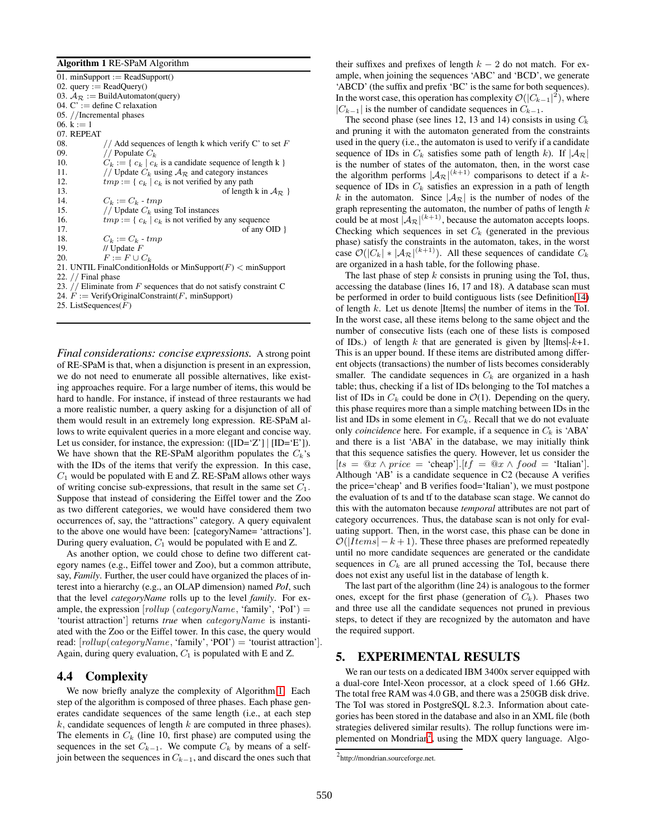#### **Algorithm 1** RE-SPaM Algorithm

| 01. minSupport := $ReadSupport()$                                     |  |  |  |  |  |  |  |
|-----------------------------------------------------------------------|--|--|--|--|--|--|--|
| 02. query := $ReadQuery()$                                            |  |  |  |  |  |  |  |
| 03. $A_{\mathcal{R}} :=$ BuildAutomaton(query)                        |  |  |  |  |  |  |  |
| 04. $C' :=$ define C relaxation                                       |  |  |  |  |  |  |  |
| 05. //Incremental phases                                              |  |  |  |  |  |  |  |
| 06. $k := 1$                                                          |  |  |  |  |  |  |  |
| 07. REPEAT                                                            |  |  |  |  |  |  |  |
| 08.<br>// Add sequences of length k which verify C' to set F          |  |  |  |  |  |  |  |
| 09.<br>// Populate $C_k$                                              |  |  |  |  |  |  |  |
| 10.<br>$C_k := \{c_k   c_k$ is a candidate sequence of length k $\}$  |  |  |  |  |  |  |  |
| 11.<br>// Update $C_k$ using $A_{\mathcal{R}}$ and category instances |  |  |  |  |  |  |  |
| $tmp := \{c_k   c_k$ is not verified by any path<br>12.               |  |  |  |  |  |  |  |
| 13.<br>of length k in $A_{\mathcal{R}}$ }                             |  |  |  |  |  |  |  |
| 14.<br>$C_k := C_k$ - tmp                                             |  |  |  |  |  |  |  |
| // Update $C_k$ using ToI instances<br>15.                            |  |  |  |  |  |  |  |
| 16.<br>$tmp := \{c_k   c_k$ is not verified by any sequence           |  |  |  |  |  |  |  |
| 17.<br>of any $OID$ }                                                 |  |  |  |  |  |  |  |
| 18.<br>$C_k := C_k$ - tmp                                             |  |  |  |  |  |  |  |
| 19.<br>// Update $F$                                                  |  |  |  |  |  |  |  |
| $F := F \cup C_k$<br>20.                                              |  |  |  |  |  |  |  |
| 21. UNTIL FinalConditionHolds or MinSupport( $F$ ) $<$ minSupport     |  |  |  |  |  |  |  |
| 22. $//$ Final phase                                                  |  |  |  |  |  |  |  |
| 23. // Eliminate from F sequences that do not satisfy constraint C    |  |  |  |  |  |  |  |

<sup>24.</sup>  $F := \text{VerifyOriginalConstraint}(F, \text{minSupport})$ 

25. ListSequences(*F*)

*Final considerations: concise expressions.* A strong point of RE-SPaM is that, when a disjunction is present in an expression, we do not need to enumerate all possible alternatives, like existing approaches require. For a large number of items, this would be hard to handle. For instance, if instead of three restaurants we had a more realistic number, a query asking for a disjunction of all of them would result in an extremely long expression. RE-SPaM allows to write equivalent queries in a more elegant and concise way. Let us consider, for instance, the expression:  $(\text{ID}=\text{Z'}] | [\text{ID}=\text{E'}]).$ We have shown that the RE-SPaM algorithm populates the *Ck*'s with the IDs of the items that verify the expression. In this case, *C*<sup>1</sup> would be populated with E and Z. RE-SPaM allows other ways of writing concise sub-expressions, that result in the same set *C*1*.* Suppose that instead of considering the Eiffel tower and the Zoo as two different categories, we would have considered them two occurrences of, say, the "attractions" category. A query equivalent to the above one would have been: [categoryName= 'attractions']. During query evaluation, *C*<sup>1</sup> would be populated with E and Z.

As another option, we could chose to define two different category names (e.g., Eiffel tower and Zoo), but a common attribute, say, *Family*. Further, the user could have organized the places of interest into a hierarchy (e.g., an OLAP dimension) named *PoI*, such that the level *categoryName* rolls up to the level *family*. For example, the expression [*rollup* (*categoryName,* 'family'*,* 'PoI') = 'tourist attraction'] returns *true* when *categoryName* is instantiated with the Zoo or the Eiffel tower. In this case, the query would read: [*rollup*(*categoryName,* 'family'*,* 'POI') = 'tourist attraction']*.* Again, during query evaluation, *C*<sup>1</sup> is populated with E and Z.

## **4.4 Complexity**

We now briefly analyze the complexity of Algorithm 1. Each step of the algorithm is composed of three phases. Each phase generates candidate sequences of the same length (i.e., at each step *k,* candidate sequences of length *k* are computed in three phases). The elements in  $C_k$  (line 10, first phase) are computed using the sequences in the set  $C_{k-1}$ . We compute  $C_k$  by means of a selfjoin between the sequences in *C<sup>k</sup>*−1, and discard the ones such that their suffixes and prefixes of length  $k - 2$  do not match. For example, when joining the sequences 'ABC' and 'BCD', we generate 'ABCD' (the suffix and prefix 'BC' is the same for both sequences). In the worst case, this operation has complexity  $\mathcal{O}(|C_{k-1}|^2)$ , where  $|C_{k-1}|$  is the number of candidate sequences in  $C_{k-1}$ .

The second phase (see lines 12, 13 and 14) consists in using  $C_k$ and pruning it with the automaton generated from the constraints used in the query (i.e., the automaton is used to verify if a candidate sequence of IDs in  $C_k$  satisfies some path of length k). If  $|\mathcal{A}_{\mathcal{R}}|$ is the number of states of the automaton, then, in the worst case the algorithm performs  $|\mathcal{A}_{\mathcal{R}}|^{(k+1)}$  comparisons to detect if a *k*sequence of IDs in *C<sup>k</sup>* satisfies an expression in a path of length *k* in the automaton. Since  $|\mathcal{A}_R|$  is the number of nodes of the graph representing the automaton, the number of paths of length *k* could be at most  $|A_{\mathcal{R}}|^{(k+1)}$ , because the automaton accepts loops. Checking which sequences in set  $C_k$  (generated in the previous phase) satisfy the constraints in the automaton, takes, in the worst case  $\mathcal{O}(|C_k| * |\mathcal{A}_{\mathcal{R}}|^{(k+1)})$ . All these sequences of candidate  $C_k$ are organized in a hash table, for the following phase.

The last phase of step *k* consists in pruning using the ToI, thus, accessing the database (lines 16, 17 and 18). A database scan must be performed in order to build contiguous lists (see Definition 14) of length *k*. Let us denote |Items| the number of items in the ToI. In the worst case, all these items belong to the same object and the number of consecutive lists (each one of these lists is composed of IDs.) of length *k* that are generated is given by |Items|-*k*+1. This is an upper bound. If these items are distributed among different objects (transactions) the number of lists becomes considerably smaller. The candidate sequences in  $C_k$  are organized in a hash table; thus, checking if a list of IDs belonging to the ToI matches a list of IDs in  $C_k$  could be done in  $\mathcal{O}(1)$ . Depending on the query, this phase requires more than a simple matching between IDs in the list and IDs in some element in  $C_k$ . Recall that we do not evaluate only *coincidence* here. For example, if a sequence in  $C_k$  is 'ABA' and there is a list 'ABA' in the database, we may initially think that this sequence satisfies the query. However, let us consider the  $[ts = \mathbb{Q}x \wedge price = 'cheap'].[tf = \mathbb{Q}x \wedge food = 'Italian'].$ Although 'AB' is a candidate sequence in C2 (because A verifies the price='cheap' and B verifies food='Italian'), we must postpone the evaluation of ts and tf to the database scan stage. We cannot do this with the automaton because *temporal* attributes are not part of category occurrences. Thus, the database scan is not only for evaluating support. Then, in the worst case, this phase can be done in  $\mathcal{O}(|Items| - k + 1)$ . These three phases are preformed repeatedly until no more candidate sequences are generated or the candidate sequences in  $C_k$  are all pruned accessing the ToI, because there does not exist any useful list in the database of length k.

The last part of the algorithm (line 24) is analogous to the former ones, except for the first phase (generation of  $C_k$ ). Phases two and three use all the candidate sequences not pruned in previous steps, to detect if they are recognized by the automaton and have the required support.

## **5. EXPERIMENTAL RESULTS**

We ran our tests on a dedicated IBM 3400x server equipped with a dual-core Intel-Xeon processor, at a clock speed of 1.66 GHz. The total free RAM was 4.0 GB, and there was a 250GB disk drive. The ToI was stored in PostgreSQL 8.2.3. Information about categories has been stored in the database and also in an XML file (both strategies delivered similar results). The rollup functions were implemented on Mondrian<sup>2</sup>, using the MDX query language. Algo-

<sup>&</sup>lt;sup>2</sup>http://mondrian.sourceforge.net.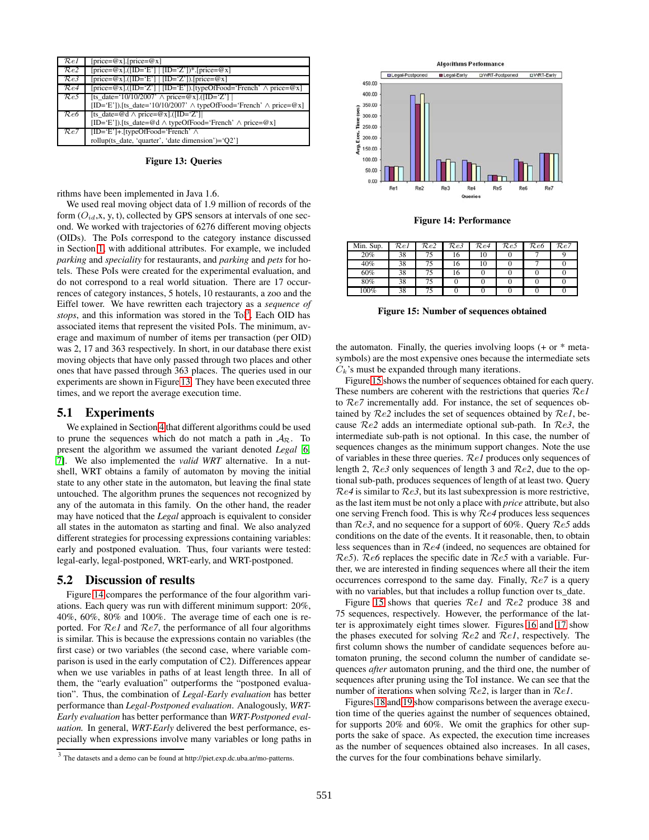| $\mathcal{R}el$ | [price= $@x$ ].[price= $@x$ ]                                                               |
|-----------------|---------------------------------------------------------------------------------------------|
| ${\cal R}e2$    | [price= $@x$ ].([ID='E']   [ID='Z'])*.[price= $@x$ ]                                        |
| ${\cal R}e3$    | [price= $@x$ ].([ID='E'] [ID='Z']).[price= $@x$ ]                                           |
| ${\cal R}e4$    | $[price = @x] \cdot ([ID = 'Z']   [ID = 'E'])]$ [typeOfFood='French' $\land$ price= $@x]$ ] |
| $\mathcal{R}e5$ | [ts date='10/10/2007' $\land$ price=@x].([ID='Z']                                           |
|                 | [ID='E']).[ts date='10/10/2007' $\land$ typeOfFood='French' $\land$ price=@x]               |
| $\mathcal{R}e6$ | [ts date=@d $\land$ price=@x].([ID='Z']]                                                    |
|                 | [ID='E']).[ts date=@d $\land$ typeOfFood='French' $\land$ price=@x]                         |
| Re7             | $[ID='E'] + [typeOfFood='French' \wedge$                                                    |
|                 | rollup(ts_date, 'quarter', 'date dimension')='Q2']                                          |

**Figure 13: Queries**

rithms have been implemented in Java 1.6.

We used real moving object data of 1.9 million of records of the form  $(O_{id}, x, y, t)$ , collected by GPS sensors at intervals of one second. We worked with trajectories of 6276 different moving objects (OIDs). The PoIs correspond to the category instance discussed in Section 1, with additional attributes. For example, we included *parking* and *speciality* for restaurants, and *parking* and *pets* for hotels. These PoIs were created for the experimental evaluation, and do not correspond to a real world situation. There are 17 occurrences of category instances, 5 hotels, 10 restaurants, a zoo and the Eiffel tower. We have rewritten each trajectory as a *sequence of* stops, and this information was stored in the ToI<sup>3</sup>. Each OID has associated items that represent the visited PoIs. The minimum, average and maximum of number of items per transaction (per OID) was 2, 17 and 363 respectively. In short, in our database there exist moving objects that have only passed through two places and other ones that have passed through 363 places. The queries used in our experiments are shown in Figure 13. They have been executed three times, and we report the average execution time.

## **5.1 Experiments**

We explained in Section 4 that different algorithms could be used to prune the sequences which do not match a path in  $A_{\mathcal{R}}$ . To present the algorithm we assumed the variant denoted *Legal* [6, 7]. We also implemented the *valid WRT* alternative. In a nutshell, WRT obtains a family of automaton by moving the initial state to any other state in the automaton, but leaving the final state untouched. The algorithm prunes the sequences not recognized by any of the automata in this family. On the other hand, the reader may have noticed that the *Legal* approach is equivalent to consider all states in the automaton as starting and final. We also analyzed different strategies for processing expressions containing variables: early and postponed evaluation. Thus, four variants were tested: legal-early, legal-postponed, WRT-early, and WRT-postponed.

#### **5.2 Discussion of results**

Figure 14 compares the performance of the four algorithm variations. Each query was run with different minimum support: 20%, 40%, 60%, 80% and 100%. The average time of each one is reported. For R*e1* and R*e7*, the performance of all four algorithms is similar. This is because the expressions contain no variables (the first case) or two variables (the second case, where variable comparison is used in the early computation of C2). Differences appear when we use variables in paths of at least length three. In all of them, the "early evaluation" outperforms the "postponed evaluation". Thus, the combination of *Legal-Early evaluation* has better performance than *Legal-Postponed evaluation*. Analogously, *WRT-Early evaluation* has better performance than *WRT-Postponed evaluation.* In general, *WRT-Early* delivered the best performance, especially when expressions involve many variables or long paths in



**Figure 14: Performance**

| $\overline{\text{Min}}$ . Sup. | $\mathcal{R}el$ | Re2 | $R\overline{e3}$ | Re4 | Re5 | Re6 | Re7 |
|--------------------------------|-----------------|-----|------------------|-----|-----|-----|-----|
| 20%                            | 38              |     | 16               | 10  |     |     |     |
| 40%                            | 38              |     | 16               | 10  |     |     |     |
| 60%                            | 38              |     | 16               |     |     |     |     |
| 80%                            | 38              |     |                  |     |     |     |     |
| $100\%$                        | 38              |     |                  |     |     |     |     |

**Figure 15: Number of sequences obtained**

the automaton. Finally, the queries involving loops  $(+)$  or  $*$  metasymbols) are the most expensive ones because the intermediate sets  $C_k$ 's must be expanded through many iterations.

Figure 15 shows the number of sequences obtained for each query. These numbers are coherent with the restrictions that queries R*e1* to R*e7* incrementally add. For instance, the set of sequences obtained by R*e2* includes the set of sequences obtained by R*e1*, because R*e2* adds an intermediate optional sub-path. In R*e3*, the intermediate sub-path is not optional. In this case, the number of sequences changes as the minimum support changes. Note the use of variables in these three queries. R*e1* produces only sequences of length 2, R*e3* only sequences of length 3 and R*e2*, due to the optional sub-path, produces sequences of length of at least two. Query R*e4* is similar to R*e3*, but its last subexpression is more restrictive, as the last item must be not only a place with *price* attribute, but also one serving French food. This is why R*e4* produces less sequences than R*e3*, and no sequence for a support of 60%. Query R*e5* adds conditions on the date of the events. It it reasonable, then, to obtain less sequences than in R*e4* (indeed, no sequences are obtained for R*e5*). R*e6* replaces the specific date in R*e5* with a variable. Further, we are interested in finding sequences where all their the item occurrences correspond to the same day. Finally, R*e7* is a query with no variables, but that includes a rollup function over ts\_date.

Figure 15 shows that queries R*e1* and R*e2* produce 38 and 75 sequences, respectively. However, the performance of the latter is approximately eight times slower. Figures 16 and 17 show the phases executed for solving R*e2* and R*e1*, respectively. The first column shows the number of candidate sequences before automaton pruning, the second column the number of candidate sequences *after* automaton pruning, and the third one, the number of sequences after pruning using the ToI instance. We can see that the number of iterations when solving R*e2*, is larger than in R*e1*.

Figures 18 and 19 show comparisons between the average execution time of the queries against the number of sequences obtained, for supports 20% and 60%. We omit the graphics for other supports the sake of space. As expected, the execution time increases as the number of sequences obtained also increases. In all cases, the curves for the four combinations behave similarly.

The datasets and a demo can be found at http://piet.exp.dc.uba.ar/mo-patterns.